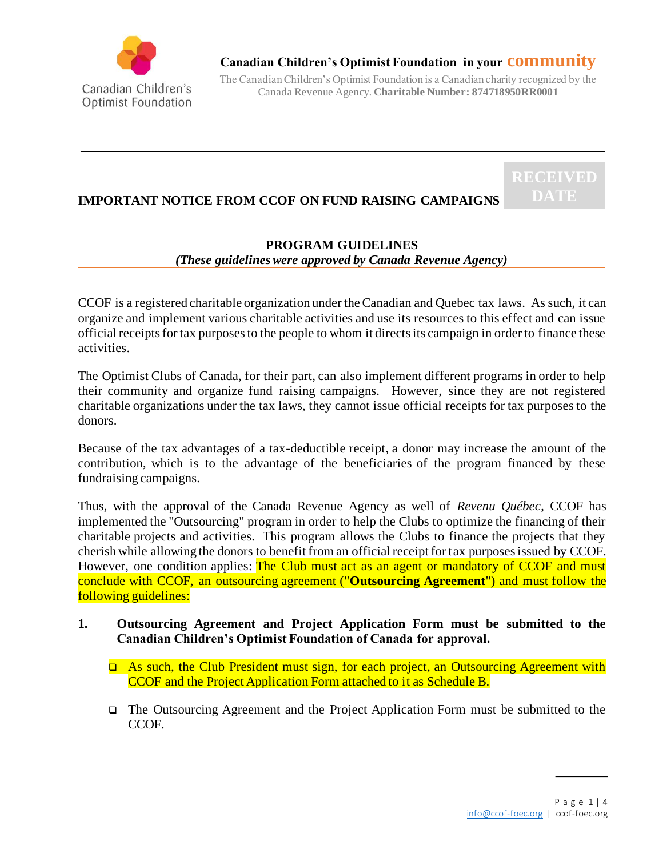

# **Canadian Children's Optimist Foundation in your community**

The Canadian Children's Optimist Foundation is a Canadian charity recognized by the Canada Revenue Agency. **Charitable Number: 874718950RR0001**

# **IMPORTANT NOTICE FROM CCOF ON FUND RAISING CAMPAIGNS**

# **PROGRAM GUIDELINES**

#### *(These guidelines were approved by Canada Revenue Agency)*

CCOF is a registered charitable organization under the Canadian and Quebec tax laws. As such, it can organize and implement various charitable activities and use its resources to this effect and can issue official receipts for tax purposes to the people to whom it directs its campaign in order to finance these activities.

The Optimist Clubs of Canada, for their part, can also implement different programs in order to help their community and organize fund raising campaigns. However, since they are not registered charitable organizations under the tax laws, they cannot issue official receipts for tax purposes to the donors.

Because of the tax advantages of a tax-deductible receipt, a donor may increase the amount of the contribution, which is to the advantage of the beneficiaries of the program financed by these fundraising campaigns.

Thus, with the approval of the Canada Revenue Agency as well of *Revenu Québec*, CCOF has implemented the "Outsourcing" program in order to help the Clubs to optimize the financing of their charitable projects and activities. This program allows the Clubs to finance the projects that they cherish while allowing the donors to benefit from an official receipt for tax purposes issued by CCOF. However, one condition applies: The Club must act as an agent or mandatory of CCOF and must conclude with CCOF, an outsourcing agreement ("**Outsourcing Agreement**") and must follow the following guidelines:

#### **1. Outsourcing Agreement and Project Application Form must be submitted to the Canadian Children's Optimist Foundation of Canada for approval.**

- ❑ As such, the Club President must sign, for each project, an Outsourcing Agreement with CCOF and the Project Application Form attached to it as Schedule B.
- ❑ The Outsourcing Agreement and the Project Application Form must be submitted to the CCOF.

**RECEIVED**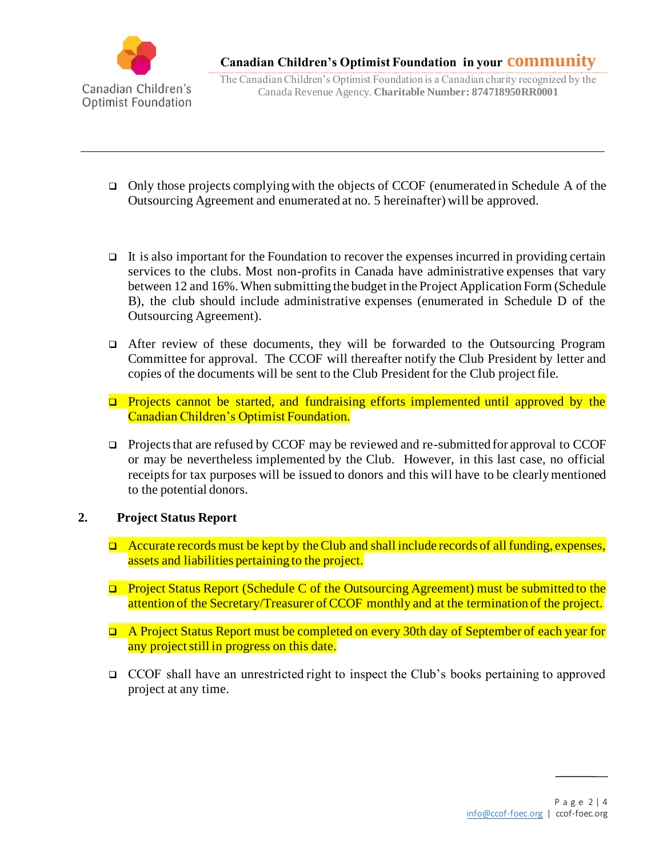

The Canadian Children's Optimist Foundation is a Canadian charity recognized by the Canada Revenue Agency. **Charitable Number: 874718950RR0001**

- ❑ Only those projects complying with the objects of CCOF (enumerated in Schedule A of the Outsourcing Agreement and enumerated at no. 5 hereinafter) will be approved.
- It is also important for the Foundation to recover the expenses incurred in providing certain services to the clubs. Most non-profits in Canada have administrative expenses that vary between 12 and 16%. When submitting the budget in the Project Application Form (Schedule B), the club should include administrative expenses (enumerated in Schedule D of the Outsourcing Agreement).
- ❑ After review of these documents, they will be forwarded to the Outsourcing Program Committee for approval. The CCOF will thereafter notify the Club President by letter and copies of the documents will be sent to the Club President for the Club project file.
- ❑ Projects cannot be started, and fundraising efforts implemented until approved by the Canadian Children's Optimist Foundation.
- ❑ Projects that are refused by CCOF may be reviewed and re-submitted for approval to CCOF or may be nevertheless implemented by the Club. However, in this last case, no official receipts for tax purposes will be issued to donors and this will have to be clearly mentioned to the potential donors.

# **2. Project Status Report**

- $\Box$  Accurate records must be kept by the Club and shall include records of all funding, expenses, assets and liabilities pertaining to the project.
- ❑ Project Status Report (Schedule C of the Outsourcing Agreement) must be submitted to the attention of the Secretary/Treasurer of CCOF monthly and at the termination of the project.
- ❑ A Project Status Report must be completed on every 30th day of September of each year for any project still in progress on this date.
- ❑ CCOF shall have an unrestricted right to inspect the Club's books pertaining to approved project at any time.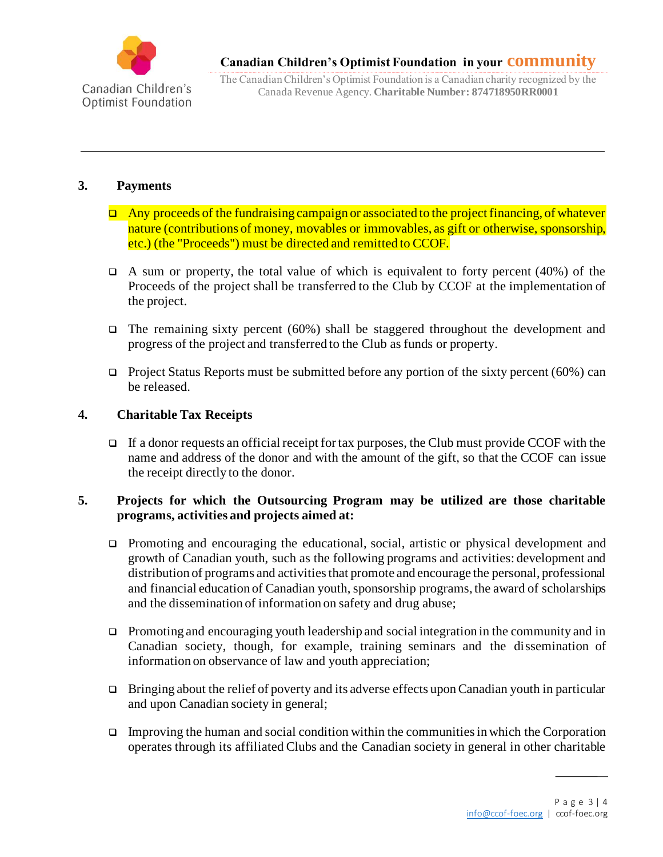

The Canadian Children's Optimist Foundation is a Canadian charity recognized by the Canada Revenue Agency. **Charitable Number: 874718950RR0001**

#### **3. Payments**

- ❑ Any proceeds of the fundraising campaign or associated to the project financing, of whatever nature (contributions of money, movables or immovables, as gift or otherwise, sponsorship, etc.) (the "Proceeds") must be directed and remitted to CCOF.
- $\Box$  A sum or property, the total value of which is equivalent to forty percent (40%) of the Proceeds of the project shall be transferred to the Club by CCOF at the implementation of the project.
- ❑ The remaining sixty percent (60%) shall be staggered throughout the development and progress of the project and transferred to the Club as funds or property.
- $\Box$  Project Status Reports must be submitted before any portion of the sixty percent (60%) can be released.

# **4. Charitable Tax Receipts**

If a donor requests an official receipt for tax purposes, the Club must provide CCOF with the name and address of the donor and with the amount of the gift, so that the CCOF can issue the receipt directly to the donor.

# **5. Projects for which the Outsourcing Program may be utilized are those charitable programs, activities and projects aimed at:**

- ❑ Promoting and encouraging the educational, social, artistic or physical development and growth of Canadian youth, such as the following programs and activities: development and distribution of programs and activities that promote and encourage the personal, professional and financial education of Canadian youth, sponsorship programs, the award of scholarships and the dissemination of information on safety and drug abuse;
- ❑ Promoting and encouraging youth leadership and social integration in the community and in Canadian society, though, for example, training seminars and the dissemination of information on observance of law and youth appreciation;
- ❑ Bringing about the relief of poverty and its adverse effects upon Canadian youth in particular and upon Canadian society in general;
- $\Box$  Improving the human and social condition within the communities in which the Corporation operates through its affiliated Clubs and the Canadian society in general in other charitable